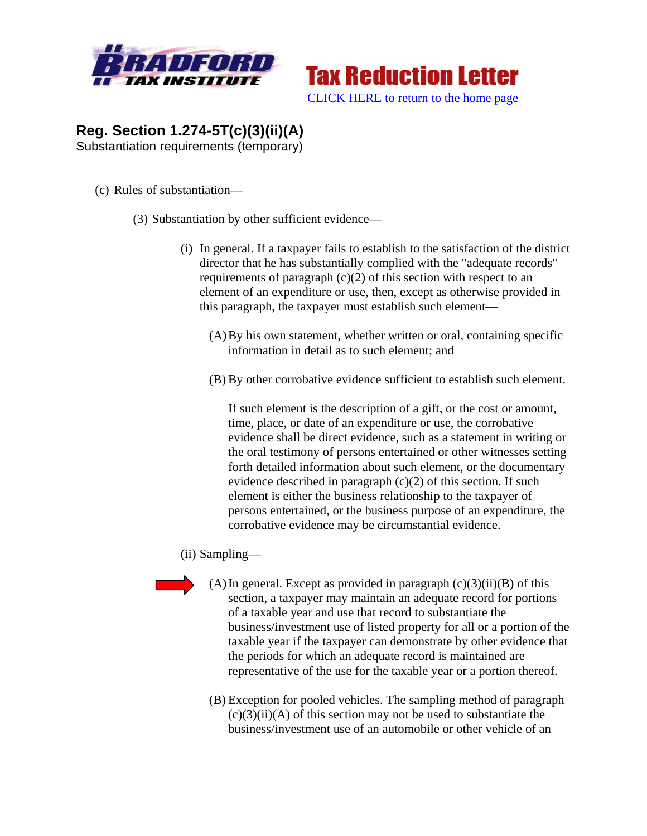



## **Reg. Section 1.274-5T(c)(3)(ii)(A)**  Substantiation requirements (temporary)

- (c) Rules of substantiation—
	- (3) Substantiation by other sufficient evidence—
		- (i) In general. If a taxpayer fails to establish to the satisfaction of the district director that he has substantially complied with the "adequate records" requirements of paragraph  $(c)(2)$  of this section with respect to an element of an expenditure or use, then, except as otherwise provided in this paragraph, the taxpayer must establish such element—
			- (A)By his own statement, whether written or oral, containing specific information in detail as to such element; and
			- (B) By other corrobative evidence sufficient to establish such element.

If such element is the description of a gift, or the cost or amount, time, place, or date of an expenditure or use, the corrobative evidence shall be direct evidence, such as a statement in writing or the oral testimony of persons entertained or other witnesses setting forth detailed information about such element, or the documentary evidence described in paragraph  $(c)(2)$  of this section. If such element is either the business relationship to the taxpayer of persons entertained, or the business purpose of an expenditure, the corrobative evidence may be circumstantial evidence.

- (ii) Sampling—
- - $(A)$  In general. Except as provided in paragraph  $(c)(3)(ii)(B)$  of this section, a taxpayer may maintain an adequate record for portions of a taxable year and use that record to substantiate the business/investment use of listed property for all or a portion of the taxable year if the taxpayer can demonstrate by other evidence that the periods for which an adequate record is maintained are representative of the use for the taxable year or a portion thereof.
	- (B) Exception for pooled vehicles. The sampling method of paragraph  $(c)(3)(ii)(A)$  of this section may not be used to substantiate the business/investment use of an automobile or other vehicle of an